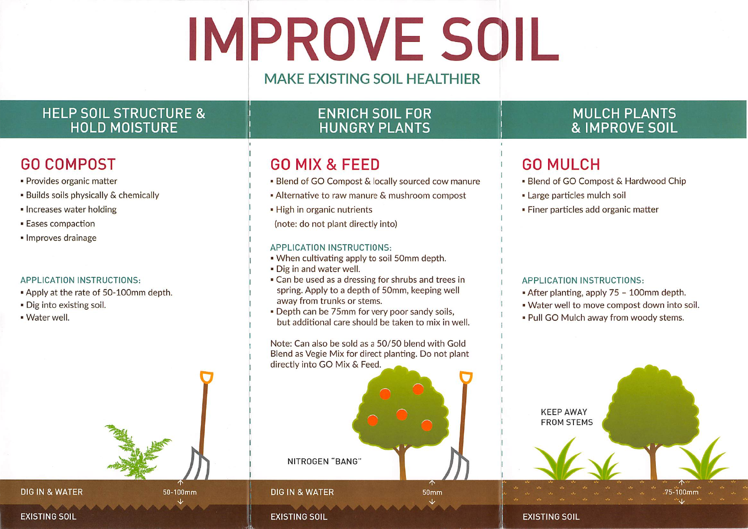# IMPROVE SOIL

## MAKE EXISTING SOIL HEALTHIER

## HELP SOIL STRUCTURE &HOLD MOISTURE

## GO COMPOST

- Provides organic matter
- Builds soils physically & chemically
- Increases water holding
- Eases compaction
- Improves drainage

#### APPLICATION INSTRUCTIONS:

- Apply at the rate of 50-100mm depth.
- Dig Into existing soli.
- Water well.

## ENRICH SOIL FORHUNGRY PLANTS

## GO MIX & FEED

- ' Blend of GO Compost & locally sourced cow manure
- ' Alternative to raw manure & mushroom compost
- High in organic nutrients
- (note: do not plant directly into)

#### APPLICATION INSTRUCTIONS:

- When cultivating apply to soil 50mm depth.
- Dig In and water well.
- Can be used as a dressing for shrubs and trees in spring. Apply to a depth of 50mm, keeping wellaway from trunks or stems.
- Depth can be 75mm for very poor sandy soils,but additional care should be taken to mix in well.

Note: Can also be sold as a 50/50 blend with Gold Blend as Vegle Mix for direct planting. Do not plantdirectly into GO Mix & Feed.



 $50<sub>mm</sub>$ 

## **DIG IN & WATER**

 50-100mm  $\checkmark$ 

### **EXISTING SOIL**

MULCH PLANTS& IMPROVE SOIL

## GO MULCH

- Blend of GO Compost & Hardwood Chip
- Large particles mulch soil
- Finer particles add organic matter

#### APPLICATION INSTRUCTIONS:

- After planting, apply 75 100mm depth.
- Water well to move compost down Into soil.
- Pull GO Mulch away from woody stems.



#### EXISTING SOIL

## EXISTING SOIL

DIG IN & WATER